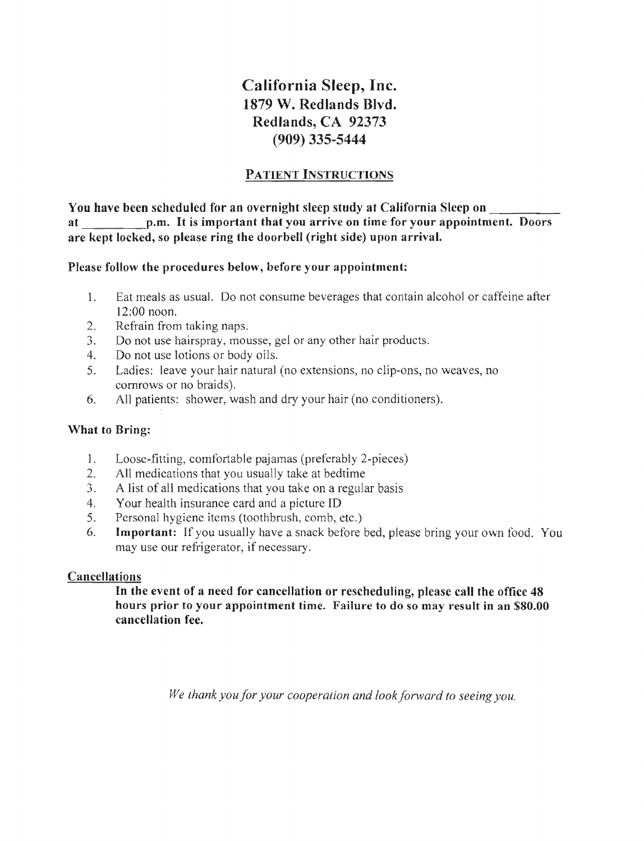California Sleep, Inc. 1879 W. Redlands Blvd. Redlands, CA 92373 (909) 335-5444

### **PATIENT INSTRUCTIONS**

You have been scheduled for an overnight sleep study at California Sleep on \_\_\_\_\_ at It is important you arrive on time for your appointment. Doors are kept locked, so please ring the doorbell (right side) upon arrival.

### Please follow the procedures below, before your appointment:

- 1. Eat meals as usual. Do not consume beverages that contain alcohol or caffeine after 12:00 noon.
- $2<sup>1</sup>$ Refrain from taking
- 3. Do not use hairspray, mousse, gel or any other hair products.
- 4. Do not use lotions or body oils.
- 5. Ladies: leave your hair natural (no extensions, no clip-ons, no weaves, no cornrows or no braids).
- 6. All patients: shower, wash and dry your hair (no conditioners).

#### What to Bring:

- 1. Loose-fitting, comfortable pajamas (preferably 2-pieces)
- 2. All medications that you usually take at bedtime
- 3. A list of all medications that you take on a regular basis
- 4. Your health insurance card and a picture ID
- 5. Personal hygiene items (toothbrush, comb, etc.)
- 6. **Important:** If you usually have a snack before bed, please bring your own food. You may use our refrigerator, if necessary.

### **Cancellations**

In the event of a need for cancellation or rescheduling, please call the office 48 hours prior to your appointment time. Failure to do so may result in an \$80.00 cancellation fee.

*We thank you for your cooperation and look forward to seeing you.*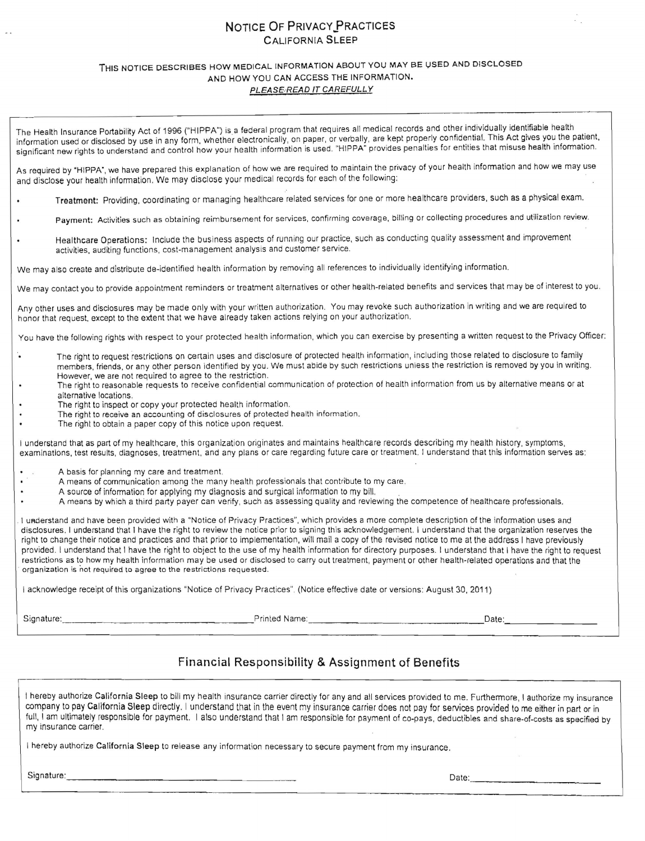#### NOTICE OF PRIVACY PRACTICES CALIFORNIA SLEEP

#### THIS NOTICE DESCRIBES HOW MEDICAL INFORMATION ABOUT YOU MAY BE USED AND DISCLOSED AND HOW YOU CAN ACCESS THE INFORMATION. PLEASE READ IT CAREFULLY

The Health Insurance Portability Act of 1996 ("HIPPA") is a federal program that requires all medical records and other individually identifiable health information used or disclosed by use in any form, whether electronically, on paper, or verbally, are kept properly confidential. This Act gives you the patient, significant new rights to understand and control how your health information is used. "HIPPA" provides penalties for entities that misuse health information.

As required by "HIPPA", we have prepared this explanation of how we are required to maintain the privacy of your health information and how we may use and disclose your health information, We may disclose your medical records for each of the following:

- Treatment: Providing, coordinating or managing healthcare related services for one or more healthcare providers, such as a physical exam.
- Payment: Activities such as obtaining reimbursement for services, confirming coverage, billing or collecting procedures and utilization review.
- Healthcare Operations: Include the business aspects of running our practice, such as conducting quality assessment and improvement activities, auditing functions, cost-management analysis and customer service.

We may also create and distribute de-identified health information by removing all references to individually identifying information.

We may contact you to provide appointment reminders or treatment alternatives or other health-related benefits and services that may be of interest to vou.

Any other uses and disclosures may be made only with your written authorization. You may revoke such authorization in writing and we are required to honor that request, except to the extent that we have already taken actions relying on your authorization.

You have the following rights with respect to your protected health information, which you can exercise by presenting a written request to the Privacy Officer:

- The right to request restrictions on certain uses and disclosure of protected health information, including those related to disclosure to family members, friends, or any other person identified by you. We must abide by such restrictions unless the restriction is removed by you in writing. However, we are not required to agree to the restriction .
- The right to reasonable requests to receive confidential communication of protection of health information from us by alternative means or at alternative locations.
- The right to inspect or copy your protected health information.
- The right to receive an accounting of disclosures of protected health information.
- The right to obtain a paper copy of this notice upon request.

I understand that as part of my healthcare, this organization originates and maintains healthcare records describing my health history, symptoms, examinations, test results, diagnoses, treatment, and any plans or care regarding future care or treatment. I understand that this infonnnation serves as:

- A basis for planning my care and treatment.
- A means of communication among the many health professionals that contribute to my care.
- A source of information for applying my diagnosis and surgical information to my bill.
- A means by which a third party payer can verify, such as assessing quality and reviewing the competence of healthcare professionals .

I understand and have been provided with a "Notice of Privacy Practices", which provides a more complete description of the information uses and disclosures. I understand that I have the right to review the notice prior to signing this acknowledgement. I understand that the organization reserves the right to change their notice and practices and that prior to implementation, will mail a copy of the revised notice to me at the address I have previously provided . I understand that I have the right to object to the use of my health information for directory purposes. I understand that I have the right to request restrictions as to how my health information may be used or disclosed to carry out treatment, payment or other health-related operations and that the . organization is not required to agree to the restrictions requested.

I acknowledge receipt of this organizations "Notice of Privacy Practices". (Notice effective date or versions: August 30, 2011)

Signature: \_\_\_\_\_ \_ \_\_\_ \_\_\_\_\_\_\_\_\_\_Prinled Name: \_\_\_\_\_\_\_\_\_\_ \_\_\_\_\_\_\_Date: \_\_\_\_\_\_\_\_\_

#### Financial Responsibility & Assignment of Benefits

I hereby authorize California Sleep to bill my health insurance carrier directly for any and all services provided to me, Furthermore, I authorize my insurance company to pay California Sleep directly. I understand that in the event my insurance carrier does not pay for services provided to me either in part or in full, I am ultimately responsible for payment. I also understand that I am responsible for payment of co-pays, deductibles and share-of-costs as specified by my insurance carrier.

I hereby authorize California Sleep to release any information necessary to secure payment from my insurance,

Signature: \_\_\_\_\_\_\_\_\_\_\_\_\_\_\_\_\_ \_\_\_\_ Date: \_\_\_\_\_\_\_\_\_\_\_\_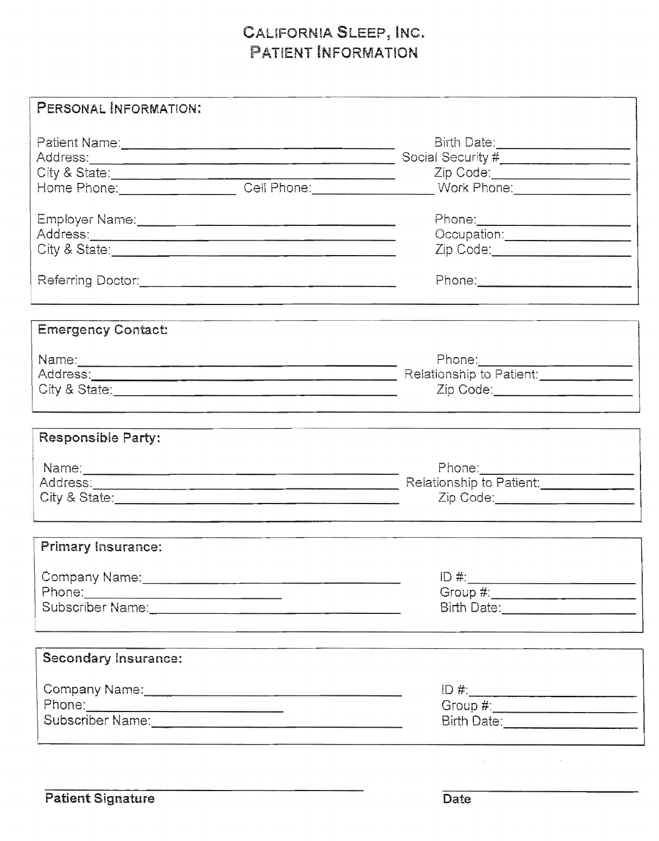# CAUFORN INFORMATION

| PERSONAL INFORMATION:                                                                                                                |                                                                                                                                                               |
|--------------------------------------------------------------------------------------------------------------------------------------|---------------------------------------------------------------------------------------------------------------------------------------------------------------|
| City & State:<br>Home Phone:____________________Cell Phone:_________________________                                                 | Birth Date:______________________<br>Social Security #____________________<br>Zip Code:_________________________<br>Work Phone: <u>______________________</u> |
|                                                                                                                                      | Occupation: _____________________<br>Zip Code: _______________________                                                                                        |
| <b>Emergency Contact:</b>                                                                                                            | Relationship to Patient:<br>Zip Code: ______________________                                                                                                  |
| Responsible Party:<br>Name: 2008 - 2008 - 2010 - 2010 - 2010 - 2010 - 2010 - 2010 - 2010 - 2010 - 2010 - 2010 - 2010 - 2010 - 2010 - | Phone:_____________________<br>Relationship to Patient: ______________<br>Zip Code:______________________                                                     |
| Primary Insurance:<br>Company Name: 2008<br>Phone:                                                                                   | Birth Date: _______________________                                                                                                                           |
| <b>Secondary Insurance:</b>                                                                                                          | $ID \#$ :                                                                                                                                                     |